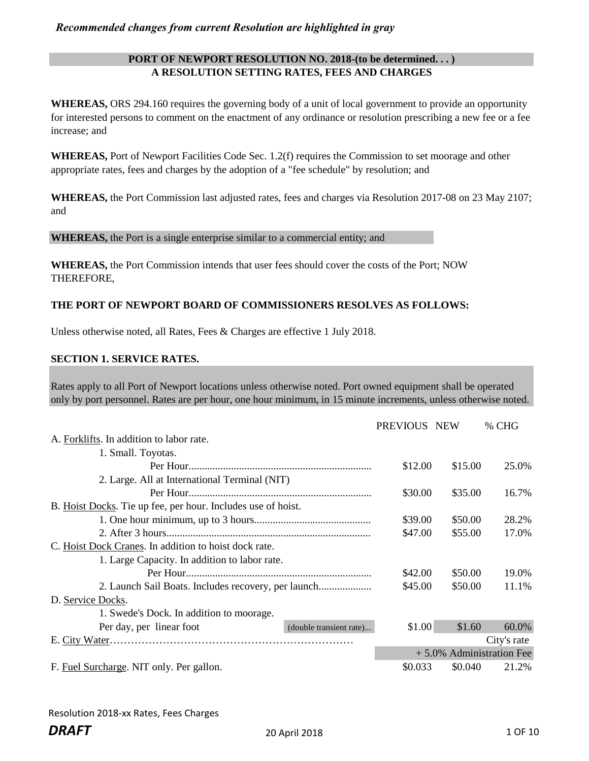## **PORT OF NEWPORT RESOLUTION NO. 2018-(to be determined. . . ) A RESOLUTION SETTING RATES, FEES AND CHARGES**

**WHEREAS,** ORS 294.160 requires the governing body of a unit of local government to provide an opportunity for interested persons to comment on the enactment of any ordinance or resolution prescribing a new fee or a fee increase; and

**WHEREAS,** Port of Newport Facilities Code Sec. 1.2(f) requires the Commission to set moorage and other appropriate rates, fees and charges by the adoption of a "fee schedule" by resolution; and

**WHEREAS,** the Port Commission last adjusted rates, fees and charges via Resolution 2017-08 on 23 May 2107; and

#### **WHEREAS,** the Port is a single enterprise similar to a commercial entity; and

**WHEREAS,** the Port Commission intends that user fees should cover the costs of the Port; NOW THEREFORE,

## **THE PORT OF NEWPORT BOARD OF COMMISSIONERS RESOLVES AS FOLLOWS:**

Unless otherwise noted, all Rates, Fees & Charges are effective 1 July 2018.

#### **SECTION 1. SERVICE RATES.**

Rates apply to all Port of Newport locations unless otherwise noted. Port owned equipment shall be operated only by port personnel. Rates are per hour, one hour minimum, in 15 minute increments, unless otherwise noted.

|                                                              |                         | PREVIOUS NEW |         | % CHG                       |
|--------------------------------------------------------------|-------------------------|--------------|---------|-----------------------------|
| A. Forklifts. In addition to labor rate.                     |                         |              |         |                             |
| 1. Small. Toyotas.                                           |                         |              |         |                             |
|                                                              |                         | \$12.00      | \$15.00 | 25.0%                       |
| 2. Large. All at International Terminal (NIT)                |                         |              |         |                             |
|                                                              |                         | \$30.00      | \$35.00 | 16.7%                       |
| B. Hoist Docks. Tie up fee, per hour. Includes use of hoist. |                         |              |         |                             |
|                                                              |                         | \$39.00      | \$50.00 | 28.2%                       |
|                                                              |                         | \$47.00      | \$55.00 | 17.0%                       |
| C. Hoist Dock Cranes. In addition to hoist dock rate.        |                         |              |         |                             |
| 1. Large Capacity. In addition to labor rate.                |                         |              |         |                             |
|                                                              |                         | \$42.00      | \$50.00 | 19.0%                       |
|                                                              |                         | \$45.00      | \$50.00 | 11.1%                       |
| D. Service Docks.                                            |                         |              |         |                             |
| 1. Swede's Dock. In addition to moorage.                     |                         |              |         |                             |
| Per day, per linear foot                                     | (double transient rate) | \$1.00       | \$1.60  | 60.0%                       |
|                                                              |                         |              |         | City's rate                 |
|                                                              |                         |              |         | $+5.0\%$ Administration Fee |
| F. Fuel Surcharge. NIT only. Per gallon.                     |                         | \$0.033      | \$0.040 | 21.2%                       |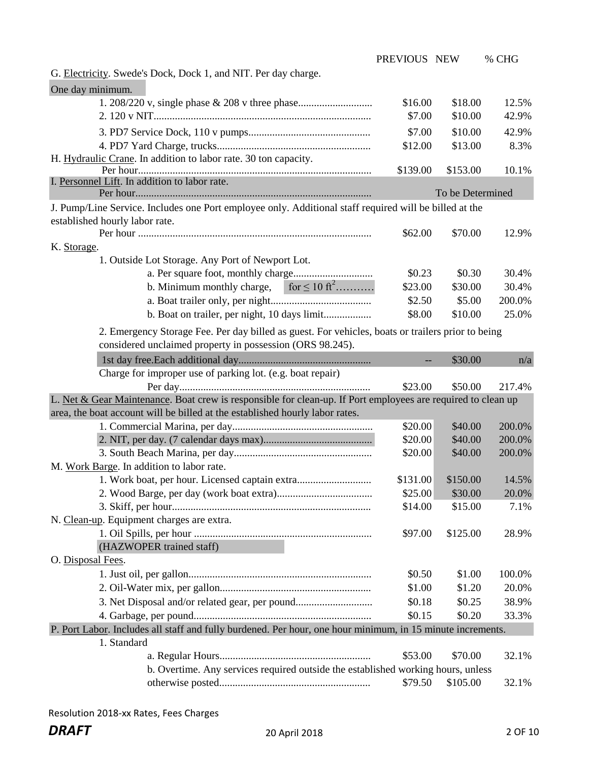|                                                                                                              | PREVIOUS NEW |                  | % CHG  |
|--------------------------------------------------------------------------------------------------------------|--------------|------------------|--------|
| G. Electricity. Swede's Dock, Dock 1, and NIT. Per day charge.                                               |              |                  |        |
| One day minimum.                                                                                             |              |                  |        |
|                                                                                                              | \$16.00      | \$18.00          | 12.5%  |
|                                                                                                              | \$7.00       | \$10.00          | 42.9%  |
|                                                                                                              | \$7.00       | \$10.00          | 42.9%  |
|                                                                                                              |              | \$13.00          | 8.3%   |
| H. Hydraulic Crane. In addition to labor rate. 30 ton capacity.                                              | \$12.00      |                  |        |
|                                                                                                              | \$139.00     | \$153.00         | 10.1%  |
| I. Personnel Lift. In addition to labor rate.                                                                |              |                  |        |
|                                                                                                              |              | To be Determined |        |
| J. Pump/Line Service. Includes one Port employee only. Additional staff required will be billed at the       |              |                  |        |
| established hourly labor rate.                                                                               |              |                  |        |
|                                                                                                              | \$62.00      | \$70.00          | 12.9%  |
| K. Storage.                                                                                                  |              |                  |        |
| 1. Outside Lot Storage. Any Port of Newport Lot.                                                             |              |                  |        |
|                                                                                                              | \$0.23       | \$0.30           | 30.4%  |
| for $\leq 10$ ft <sup>2</sup><br>b. Minimum monthly charge,                                                  | \$23.00      | \$30.00          | 30.4%  |
|                                                                                                              | \$2.50       | \$5.00           | 200.0% |
|                                                                                                              | \$8.00       | \$10.00          | 25.0%  |
| 2. Emergency Storage Fee. Per day billed as guest. For vehicles, boats or trailers prior to being            |              |                  |        |
| considered unclaimed property in possession (ORS 98.245).                                                    |              |                  |        |
|                                                                                                              |              | \$30.00          | n/a    |
| Charge for improper use of parking lot. (e.g. boat repair)                                                   |              |                  |        |
|                                                                                                              | \$23.00      | \$50.00          | 217.4% |
| L. Net & Gear Maintenance. Boat crew is responsible for clean-up. If Port employees are required to clean up |              |                  |        |
| area, the boat account will be billed at the established hourly labor rates.                                 |              |                  |        |
|                                                                                                              | \$20.00      | \$40.00          | 200.0% |
|                                                                                                              | \$20.00      | \$40.00          | 200.0% |
|                                                                                                              | \$20.00      | \$40.00          | 200.0% |
| M. Work Barge. In addition to labor rate.                                                                    |              |                  |        |
| 1. Work boat, per hour. Licensed captain extra                                                               | \$131.00     | \$150.00         | 14.5%  |
|                                                                                                              | \$25.00      | \$30.00          | 20.0%  |
|                                                                                                              | \$14.00      | \$15.00          | 7.1%   |
| N. Clean-up. Equipment charges are extra.                                                                    |              |                  |        |
|                                                                                                              | \$97.00      | \$125.00         | 28.9%  |
| (HAZWOPER trained staff)                                                                                     |              |                  |        |
| O. Disposal Fees.                                                                                            |              |                  |        |
|                                                                                                              | \$0.50       | \$1.00           | 100.0% |
|                                                                                                              | \$1.00       | \$1.20           | 20.0%  |
| 3. Net Disposal and/or related gear, per pound                                                               | \$0.18       | \$0.25           | 38.9%  |
|                                                                                                              | \$0.15       | \$0.20           | 33.3%  |
| P. Port Labor. Includes all staff and fully burdened. Per hour, one hour minimum, in 15 minute increments.   |              |                  |        |
| 1. Standard                                                                                                  |              |                  |        |
|                                                                                                              | \$53.00      | \$70.00          | 32.1%  |
| b. Overtime. Any services required outside the established working hours, unless                             |              |                  |        |
|                                                                                                              | \$79.50      | \$105.00         | 32.1%  |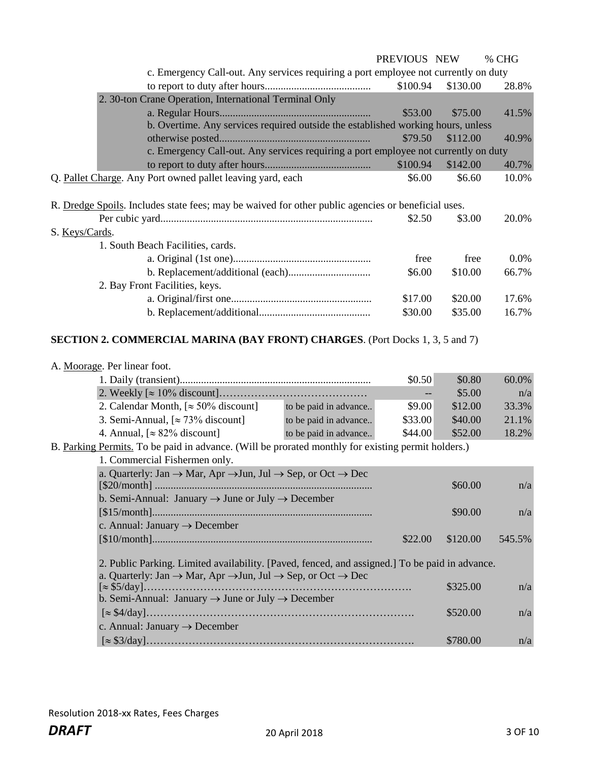|                |                                                                                                             |                       | PREVIOUS NEW |          | % CHG  |
|----------------|-------------------------------------------------------------------------------------------------------------|-----------------------|--------------|----------|--------|
|                | c. Emergency Call-out. Any services requiring a port employee not currently on duty                         |                       |              |          |        |
|                |                                                                                                             |                       | \$100.94     | \$130.00 | 28.8%  |
|                | 2. 30-ton Crane Operation, International Terminal Only                                                      |                       |              |          |        |
|                |                                                                                                             |                       | \$53.00      | \$75.00  | 41.5%  |
|                | b. Overtime. Any services required outside the established working hours, unless                            |                       |              |          |        |
|                |                                                                                                             |                       | \$79.50      | \$112.00 | 40.9%  |
|                | c. Emergency Call-out. Any services requiring a port employee not currently on duty                         |                       |              |          |        |
|                |                                                                                                             |                       | \$100.94     | \$142.00 | 40.7%  |
|                | Q. Pallet Charge. Any Port owned pallet leaving yard, each                                                  |                       | \$6.00       | \$6.60   | 10.0%  |
|                |                                                                                                             |                       |              |          |        |
|                |                                                                                                             |                       |              |          |        |
|                | R. Dredge Spoils. Includes state fees; may be waived for other public agencies or beneficial uses.          |                       |              |          |        |
|                |                                                                                                             |                       | \$2.50       | \$3.00   | 20.0%  |
| S. Keys/Cards. |                                                                                                             |                       |              |          |        |
|                | 1. South Beach Facilities, cards.                                                                           |                       |              |          |        |
|                |                                                                                                             |                       | free         | free     | 0.0%   |
|                |                                                                                                             |                       | \$6.00       | \$10.00  | 66.7%  |
|                | 2. Bay Front Facilities, keys.                                                                              |                       |              |          |        |
|                |                                                                                                             |                       | \$17.00      | \$20.00  | 17.6%  |
|                |                                                                                                             |                       | \$30.00      | \$35.00  | 16.7%  |
|                |                                                                                                             |                       |              |          |        |
|                | <b>SECTION 2. COMMERCIAL MARINA (BAY FRONT) CHARGES.</b> (Port Docks 1, 3, 5 and 7)                         |                       |              |          |        |
|                |                                                                                                             |                       |              |          |        |
|                | A. Moorage. Per linear foot.                                                                                |                       |              |          |        |
|                |                                                                                                             |                       | \$0.50       | \$0.80   | 60.0%  |
|                |                                                                                                             |                       |              | \$5.00   | n/a    |
|                | 2. Calendar Month, $\approx 50\%$ discount]                                                                 | to be paid in advance | \$9.00       | \$12.00  | 33.3%  |
|                | 3. Semi-Annual, $[\approx 73\%$ discount]                                                                   | to be paid in advance | \$33.00      | \$40.00  | 21.1%  |
|                | 4. Annual, $[\approx 82\%$ discount]                                                                        | to be paid in advance | \$44.00      | \$52.00  | 18.2%  |
|                |                                                                                                             |                       |              |          |        |
|                | B. Parking Permits. To be paid in advance. (Will be prorated monthly for existing permit holders.)          |                       |              |          |        |
|                | 1. Commercial Fishermen only.                                                                               |                       |              |          |        |
|                | a. Quarterly: Jan $\rightarrow$ Mar, Apr $\rightarrow$ Jun, Jul $\rightarrow$ Sep, or Oct $\rightarrow$ Dec |                       |              | \$60.00  | n/a    |
|                | b. Semi-Annual: January $\rightarrow$ June or July $\rightarrow$ December                                   |                       |              |          |        |
|                |                                                                                                             |                       |              | \$90.00  | n/a    |
|                | c. Annual: January $\rightarrow$ December                                                                   |                       |              |          |        |
|                |                                                                                                             |                       | \$22.00      | \$120.00 | 545.5% |
|                |                                                                                                             |                       |              |          |        |
|                | 2. Public Parking. Limited availability. [Paved, fenced, and assigned.] To be paid in advance.              |                       |              |          |        |
|                | a. Quarterly: Jan $\rightarrow$ Mar, Apr $\rightarrow$ Jun, Jul $\rightarrow$ Sep, or Oct $\rightarrow$ Dec |                       |              |          |        |
|                | $\approx$ \$5/day]                                                                                          |                       |              | \$325.00 | n/a    |
|                | b. Semi-Annual: January $\rightarrow$ June or July $\rightarrow$ December                                   |                       |              |          |        |
|                |                                                                                                             |                       |              | \$520.00 | n/a    |
|                | c. Annual: January $\rightarrow$ December                                                                   |                       |              |          |        |
|                |                                                                                                             |                       |              | \$780.00 |        |
|                |                                                                                                             |                       |              |          | n/a    |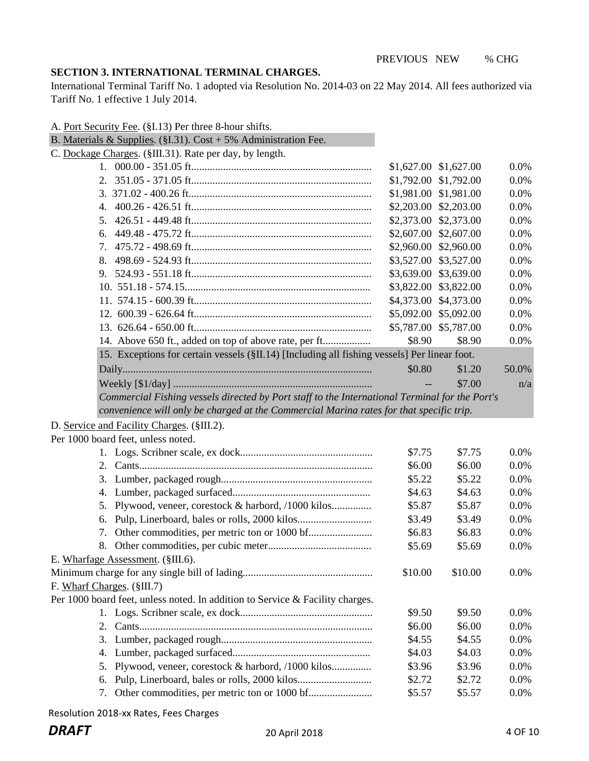## **SECTION 3. INTERNATIONAL TERMINAL CHARGES.**

International Terminal Tariff No. 1 adopted via Resolution No. 2014-03 on 22 May 2014. All fees authorized via Tariff No. 1 effective 1 July 2014.

| A. Port Security Fee. (§I.13) Per three 8-hour shifts.                                         |                          |                       |         |
|------------------------------------------------------------------------------------------------|--------------------------|-----------------------|---------|
| B. Materials & Supplies. (§I.31). Cost + 5% Administration Fee.                                |                          |                       |         |
| C. Dockage Charges. (§III.31). Rate per day, by length.                                        |                          |                       |         |
|                                                                                                |                          | \$1,627.00 \$1,627.00 | $0.0\%$ |
| 2.                                                                                             |                          | \$1,792.00 \$1,792.00 | 0.0%    |
|                                                                                                | \$1,981.00 \$1,981.00    |                       | 0.0%    |
| 4.                                                                                             | \$2,203.00 \$2,203.00    |                       | 0.0%    |
| 5.                                                                                             | \$2,373.00 \$2,373.00    |                       | 0.0%    |
| 6.                                                                                             | \$2,607.00               | \$2,607.00            | 0.0%    |
| 7.                                                                                             | \$2,960.00               | \$2,960.00            | 0.0%    |
| 8.                                                                                             |                          | \$3,527.00 \$3,527.00 | 0.0%    |
| 9.                                                                                             |                          | \$3,639.00 \$3,639.00 | 0.0%    |
|                                                                                                |                          | \$3,822.00 \$3,822.00 | 0.0%    |
|                                                                                                | \$4,373.00 \$4,373.00    |                       | 0.0%    |
|                                                                                                | \$5,092.00 \$5,092.00    |                       | 0.0%    |
|                                                                                                |                          | \$5,787.00 \$5,787.00 | 0.0%    |
| 14. Above 650 ft., added on top of above rate, per ft                                          | \$8.90                   | \$8.90                | 0.0%    |
| 15. Exceptions for certain vessels (§II.14) [Including all fishing vessels] Per linear foot.   |                          |                       |         |
|                                                                                                | \$0.80                   | \$1.20                | 50.0%   |
|                                                                                                | $\overline{\phantom{a}}$ | \$7.00                | n/a     |
| Commercial Fishing vessels directed by Port staff to the International Terminal for the Port's |                          |                       |         |
| convenience will only be charged at the Commercial Marina rates for that specific trip.        |                          |                       |         |
| D. Service and Facility Charges. (§III.2).                                                     |                          |                       |         |
| Per 1000 board feet, unless noted.                                                             |                          |                       |         |
|                                                                                                | \$7.75                   | \$7.75                | 0.0%    |
| 2.                                                                                             | \$6.00                   | \$6.00                | 0.0%    |
| 3.                                                                                             | \$5.22                   | \$5.22                | 0.0%    |
| 4.                                                                                             | \$4.63                   | \$4.63                | 0.0%    |
| Plywood, veneer, corestock & harbord, /1000 kilos<br>5.                                        | \$5.87                   | \$5.87                | 0.0%    |
| 6.                                                                                             | \$3.49                   | \$3.49                | 0.0%    |
| 7.                                                                                             | \$6.83                   | \$6.83                | 0.0%    |
|                                                                                                | \$5.69                   | \$5.69                | 0.0%    |
| E. Wharfage Assessment. (§III.6).                                                              |                          |                       |         |
|                                                                                                | \$10.00                  | \$10.00               | 0.0%    |
| F. Wharf Charges. (§III.7)                                                                     |                          |                       |         |
| Per 1000 board feet, unless noted. In addition to Service & Facility charges.                  |                          |                       |         |
|                                                                                                | \$9.50                   | \$9.50                | 0.0%    |
| 2.                                                                                             | \$6.00                   | \$6.00                | 0.0%    |
| 3.                                                                                             | \$4.55                   | \$4.55                | 0.0%    |
| 4.                                                                                             | \$4.03                   | \$4.03                | 0.0%    |
| Plywood, veneer, corestock & harbord, /1000 kilos<br>5.                                        | \$3.96                   | \$3.96                | 0.0%    |
| 6.                                                                                             | \$2.72                   | \$2.72                | 0.0%    |
| 7.                                                                                             | \$5.57                   | \$5.57                | 0.0%    |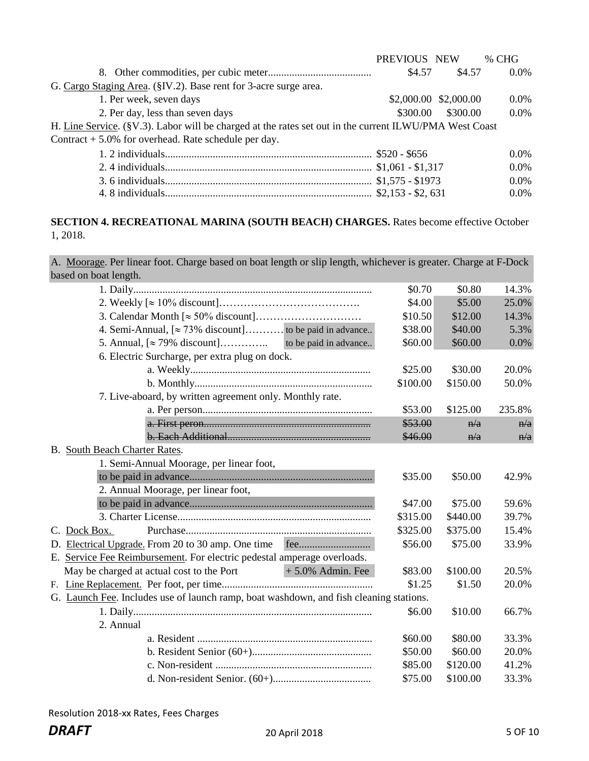|                                                                                                        | PREVIOUS NEW |                       | % CHG   |
|--------------------------------------------------------------------------------------------------------|--------------|-----------------------|---------|
|                                                                                                        | \$4.57       | \$4.57                | $0.0\%$ |
| G. Cargo Staging Area. (§IV.2). Base rent for 3-acre surge area.                                       |              |                       |         |
| 1. Per week, seven days                                                                                |              | \$2,000.00 \$2,000.00 | $0.0\%$ |
| 2. Per day, less than seven days                                                                       | \$300.00     | \$300.00              | $0.0\%$ |
| H. Line Service. (§V.3). Labor will be charged at the rates set out in the current ILWU/PMA West Coast |              |                       |         |
| Contract $+ 5.0\%$ for overhead. Rate schedule per day.                                                |              |                       |         |
|                                                                                                        |              |                       | $0.0\%$ |
|                                                                                                        |              |                       | $0.0\%$ |
|                                                                                                        |              |                       | $0.0\%$ |
|                                                                                                        |              |                       | $0.0\%$ |

# **SECTION 4. RECREATIONAL MARINA (SOUTH BEACH) CHARGES.** Rates become effective October 1, 2018.

A. Moorage. Per linear foot. Charge based on boat length or slip length, whichever is greater. Charge at F-Dock based on boat length.

|                                                                                        | \$0.70   | \$0.80   | 14.3%  |
|----------------------------------------------------------------------------------------|----------|----------|--------|
|                                                                                        | \$4.00   | \$5.00   | 25.0%  |
|                                                                                        | \$10.50  | \$12.00  | 14.3%  |
| 4. Semi-Annual, $[\approx 73\%$ discount] to be paid in advance                        | \$38.00  | \$40.00  | 5.3%   |
| to be paid in advance<br>5. Annual, $\approx 79\%$ discount                            | \$60.00  | \$60.00  | 0.0%   |
| 6. Electric Surcharge, per extra plug on dock.                                         |          |          |        |
|                                                                                        | \$25.00  | \$30.00  | 20.0%  |
|                                                                                        | \$100.00 | \$150.00 | 50.0%  |
| 7. Live-aboard, by written agreement only. Monthly rate.                               |          |          |        |
|                                                                                        | \$53.00  | \$125.00 | 235.8% |
|                                                                                        | \$53.00  | n/a      | n/a    |
|                                                                                        | \$46.00  | n/a      | n/a    |
| B. South Beach Charter Rates.                                                          |          |          |        |
| 1. Semi-Annual Moorage, per linear foot,                                               |          |          |        |
|                                                                                        | \$35.00  | \$50.00  | 42.9%  |
| 2. Annual Moorage, per linear foot,                                                    |          |          |        |
|                                                                                        | \$47.00  | \$75.00  | 59.6%  |
|                                                                                        | \$315.00 | \$440.00 | 39.7%  |
| C. Dock Box.                                                                           | \$325.00 | \$375.00 | 15.4%  |
| D. Electrical Upgrade. From 20 to 30 amp. One time fee                                 | \$56.00  | \$75.00  | 33.9%  |
| E. Service Fee Reimbursement. For electric pedestal amperage overloads.                |          |          |        |
| $+5.0\%$ Admin. Fee<br>May be charged at actual cost to the Port                       | \$83.00  | \$100.00 | 20.5%  |
|                                                                                        | \$1.25   | \$1.50   | 20.0%  |
| G. Launch Fee. Includes use of launch ramp, boat washdown, and fish cleaning stations. |          |          |        |
|                                                                                        | \$6.00   | \$10.00  | 66.7%  |
| 2. Annual                                                                              |          |          |        |
|                                                                                        | \$60.00  | \$80.00  | 33.3%  |
|                                                                                        | \$50.00  | \$60.00  | 20.0%  |
|                                                                                        | \$85.00  | \$120.00 | 41.2%  |
|                                                                                        | \$75.00  | \$100.00 | 33.3%  |
|                                                                                        |          |          |        |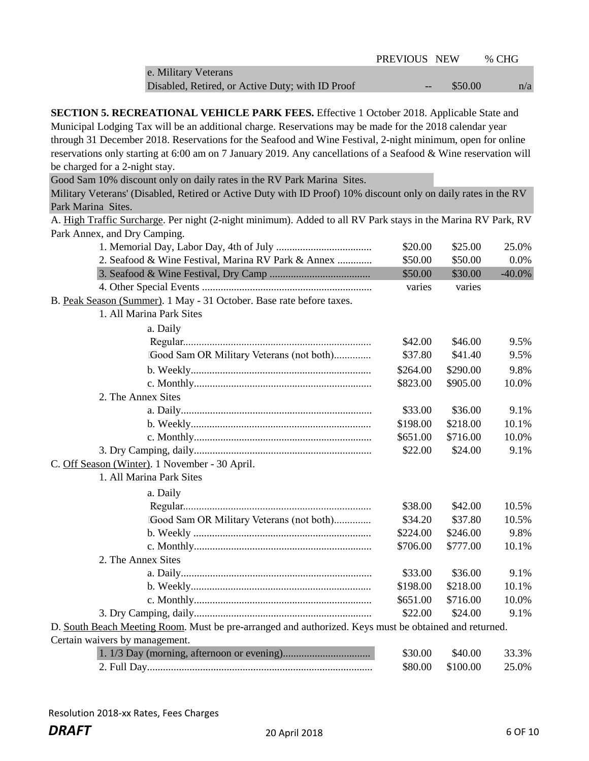|                                                  | PREVIOUS NEW |         | % CHG |
|--------------------------------------------------|--------------|---------|-------|
| e. Military Veterans                             |              |         |       |
| Disabled, Retired, or Active Duty; with ID Proof | $-$          | \$50.00 | n/a   |

**SECTION 5. RECREATIONAL VEHICLE PARK FEES.** Effective 1 October 2018. Applicable State and Municipal Lodging Tax will be an additional charge. Reservations may be made for the 2018 calendar year through 31 December 2018. Reservations for the Seafood and Wine Festival, 2-night minimum, open for online reservations only starting at 6:00 am on 7 January 2019. Any cancellations of a Seafood & Wine reservation will be charged for a 2-night stay.

Good Sam 10% discount only on daily rates in the RV Park Marina Sites.

Military Veterans' (Disabled, Retired or Active Duty with ID Proof) 10% discount only on daily rates in the RV Park Marina Sites.

A. High Traffic Surcharge. Per night (2-night minimum). Added to all RV Park stays in the Marina RV Park, RV Park Annex, and Dry Camping.

|                                                                                                       | \$20.00  | \$25.00  | 25.0%     |
|-------------------------------------------------------------------------------------------------------|----------|----------|-----------|
| 2. Seafood & Wine Festival, Marina RV Park & Annex                                                    | \$50.00  | \$50.00  | 0.0%      |
|                                                                                                       | \$50.00  | \$30.00  | $-40.0\%$ |
|                                                                                                       | varies   | varies   |           |
| B. Peak Season (Summer). 1 May - 31 October. Base rate before taxes.                                  |          |          |           |
| 1. All Marina Park Sites                                                                              |          |          |           |
| a. Daily                                                                                              |          |          |           |
|                                                                                                       | \$42.00  | \$46.00  | 9.5%      |
| Good Sam OR Military Veterans (not both)                                                              | \$37.80  | \$41.40  | 9.5%      |
|                                                                                                       | \$264.00 | \$290.00 | 9.8%      |
|                                                                                                       | \$823.00 | \$905.00 | 10.0%     |
| 2. The Annex Sites                                                                                    |          |          |           |
|                                                                                                       | \$33.00  | \$36.00  | 9.1%      |
|                                                                                                       | \$198.00 | \$218.00 | 10.1%     |
|                                                                                                       | \$651.00 | \$716.00 | 10.0%     |
|                                                                                                       | \$22.00  | \$24.00  | 9.1%      |
| C. Off Season (Winter). 1 November - 30 April.                                                        |          |          |           |
| 1. All Marina Park Sites                                                                              |          |          |           |
| a. Daily                                                                                              |          |          |           |
|                                                                                                       | \$38.00  | \$42.00  | 10.5%     |
| Good Sam OR Military Veterans (not both)                                                              | \$34.20  | \$37.80  | 10.5%     |
|                                                                                                       | \$224.00 | \$246.00 | 9.8%      |
|                                                                                                       | \$706.00 | \$777.00 | 10.1%     |
| 2. The Annex Sites                                                                                    |          |          |           |
|                                                                                                       | \$33.00  | \$36.00  | 9.1%      |
|                                                                                                       | \$198.00 | \$218.00 | 10.1%     |
|                                                                                                       | \$651.00 | \$716.00 | 10.0%     |
|                                                                                                       | \$22.00  | \$24.00  | 9.1%      |
| D. South Beach Meeting Room. Must be pre-arranged and authorized. Keys must be obtained and returned. |          |          |           |
| Certain waivers by management.                                                                        |          |          |           |
|                                                                                                       | \$30.00  | \$40.00  | 33.3%     |
|                                                                                                       | \$80.00  | \$100.00 | 25.0%     |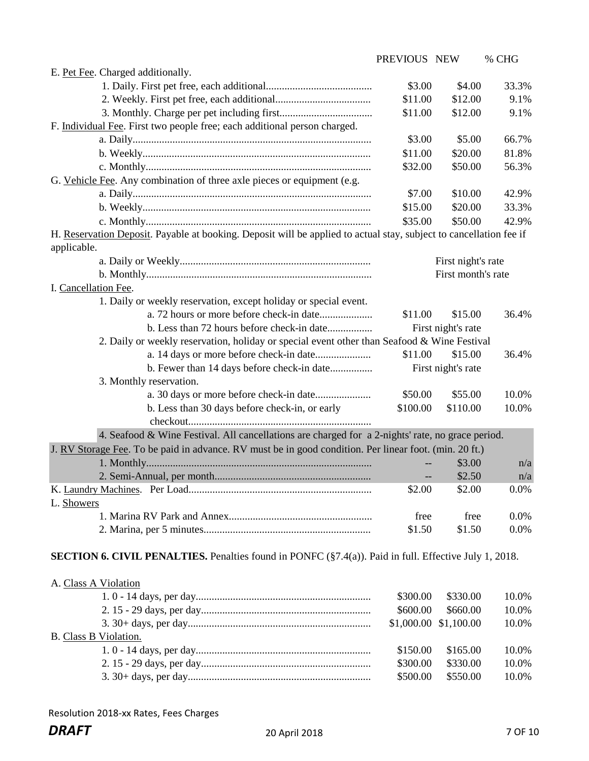|                                                                                                                    | PREVIOUS NEW |                       | % CHG |
|--------------------------------------------------------------------------------------------------------------------|--------------|-----------------------|-------|
| E. Pet Fee. Charged additionally.                                                                                  |              |                       |       |
|                                                                                                                    | \$3.00       | \$4.00                | 33.3% |
|                                                                                                                    | \$11.00      | \$12.00               | 9.1%  |
|                                                                                                                    | \$11.00      | \$12.00               | 9.1%  |
| F. Individual Fee. First two people free; each additional person charged.                                          |              |                       |       |
|                                                                                                                    | \$3.00       | \$5.00                | 66.7% |
|                                                                                                                    | \$11.00      | \$20.00               | 81.8% |
|                                                                                                                    | \$32.00      | \$50.00               | 56.3% |
| G. Vehicle Fee. Any combination of three axle pieces or equipment (e.g.                                            |              |                       |       |
|                                                                                                                    | \$7.00       | \$10.00               | 42.9% |
|                                                                                                                    | \$15.00      | \$20.00               | 33.3% |
|                                                                                                                    | \$35.00      | \$50.00               | 42.9% |
| H. Reservation Deposit. Payable at booking. Deposit will be applied to actual stay, subject to cancellation fee if |              |                       |       |
| applicable.                                                                                                        |              |                       |       |
|                                                                                                                    |              | First night's rate    |       |
|                                                                                                                    |              | First month's rate    |       |
| I. Cancellation Fee.                                                                                               |              |                       |       |
| 1. Daily or weekly reservation, except holiday or special event.                                                   |              |                       |       |
|                                                                                                                    | \$11.00      | \$15.00               | 36.4% |
|                                                                                                                    |              | First night's rate    |       |
| 2. Daily or weekly reservation, holiday or special event other than Seafood & Wine Festival                        |              |                       |       |
|                                                                                                                    | \$11.00      | \$15.00               | 36.4% |
| b. Fewer than 14 days before check-in date                                                                         |              | First night's rate    |       |
| 3. Monthly reservation.                                                                                            |              |                       |       |
|                                                                                                                    | \$50.00      | \$55.00               | 10.0% |
| b. Less than 30 days before check-in, or early                                                                     | \$100.00     | \$110.00              | 10.0% |
|                                                                                                                    |              |                       |       |
| 4. Seafood & Wine Festival. All cancellations are charged for a 2-nights' rate, no grace period.                   |              |                       |       |
| J. RV Storage Fee. To be paid in advance. RV must be in good condition. Per linear foot. (min. 20 ft.)             |              |                       |       |
|                                                                                                                    |              | \$3.00                | n/a   |
|                                                                                                                    |              | \$2.50                | n/a   |
|                                                                                                                    | \$2.00       | \$2.00                | 0.0%  |
| L. Showers                                                                                                         |              |                       |       |
|                                                                                                                    | free         | free                  | 0.0%  |
|                                                                                                                    | \$1.50       | \$1.50                | 0.0%  |
|                                                                                                                    |              |                       |       |
| <b>SECTION 6. CIVIL PENALTIES.</b> Penalties found in PONFC $(\S7.4(a))$ . Paid in full. Effective July 1, 2018.   |              |                       |       |
|                                                                                                                    |              |                       |       |
| A. Class A Violation                                                                                               |              |                       |       |
|                                                                                                                    | \$300.00     | \$330.00              | 10.0% |
|                                                                                                                    | \$600.00     | \$660.00              | 10.0% |
|                                                                                                                    |              | \$1,000.00 \$1,100.00 | 10.0% |
| B. Class B Violation.                                                                                              |              |                       |       |
|                                                                                                                    | \$150.00     | \$165.00              | 10.0% |

 2. 15 - 29 days, per day................................................................ 3. 30+ days, per day..................................................................... \$300.00 \$330.00 10.0% \$500.00 \$550.00 10.0%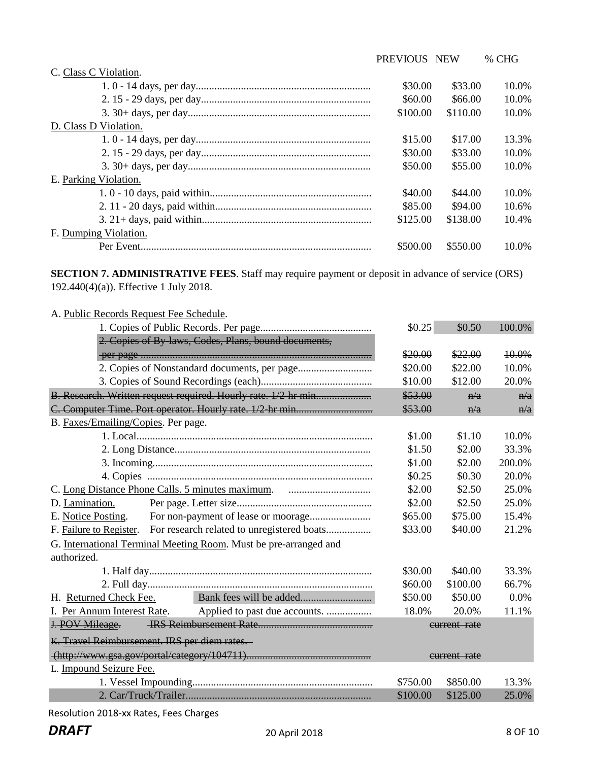PREVIOUS NEW % CHG

| C. Class C Violation. |          |          |       |
|-----------------------|----------|----------|-------|
|                       | \$30.00  | \$33.00  | 10.0% |
|                       | \$60.00  | \$66.00  | 10.0% |
|                       | \$100.00 | \$110.00 | 10.0% |
| D. Class D Violation. |          |          |       |
|                       | \$15.00  | \$17.00  | 13.3% |
|                       | \$30.00  | \$33.00  | 10.0% |
|                       | \$50.00  | \$55.00  | 10.0% |
| E. Parking Violation. |          |          |       |
|                       | \$40.00  | \$44.00  | 10.0% |
|                       | \$85.00  | \$94.00  | 10.6% |
|                       | \$125.00 | \$138.00 | 10.4% |
| F. Dumping Violation. |          |          |       |
|                       | \$500.00 | \$550.00 | 10.0% |

**SECTION 7. ADMINISTRATIVE FEES**. Staff may require payment or deposit in advance of service (ORS) 192.440(4)(a)). Effective 1 July 2018.

| A. Public Records Request Fee Schedule.                            |          |              |        |
|--------------------------------------------------------------------|----------|--------------|--------|
|                                                                    | \$0.25   | \$0.50       | 100.0% |
| 2. Copies of By-laws, Codes, Plans, bound documents,               |          |              |        |
|                                                                    | \$20.00  | \$22.00      | 10.0%  |
|                                                                    | \$20.00  | \$22.00      | 10.0%  |
|                                                                    | \$10.00  | \$12.00      | 20.0%  |
|                                                                    | \$53.00  | n/a          | n/a    |
|                                                                    | \$53.00  | n/a          | n/a    |
| B. Faxes/Emailing/Copies. Per page.                                |          |              |        |
|                                                                    | \$1.00   | \$1.10       | 10.0%  |
|                                                                    | \$1.50   | \$2.00       | 33.3%  |
|                                                                    | \$1.00   | \$2.00       | 200.0% |
|                                                                    | \$0.25   | \$0.30       | 20.0%  |
|                                                                    | \$2.00   | \$2.50       | 25.0%  |
| D. Lamination.                                                     | \$2.00   | \$2.50       | 25.0%  |
| E. Notice Posting.                                                 | \$65.00  | \$75.00      | 15.4%  |
| F. Failure to Register. For research related to unregistered boats | \$33.00  | \$40.00      | 21.2%  |
| G. International Terminal Meeting Room. Must be pre-arranged and   |          |              |        |
| authorized.                                                        |          |              |        |
|                                                                    | \$30.00  | \$40.00      | 33.3%  |
|                                                                    | \$60.00  | \$100.00     | 66.7%  |
| H. Returned Check Fee.                                             | \$50.00  | \$50.00      | 0.0%   |
| I. Per Annum Interest Rate. Applied to past due accounts.          | 18.0%    | 20.0%        | 11.1%  |
| J. POV Mileage.                                                    |          | current rate |        |
| K. Travel Reimbursement. IRS per diem rates.                       |          |              |        |
|                                                                    |          | eurrent rate |        |
| L. Impound Seizure Fee.                                            |          |              |        |
|                                                                    | \$750.00 | \$850.00     | 13.3%  |
|                                                                    | \$100.00 | \$125.00     | 25.0%  |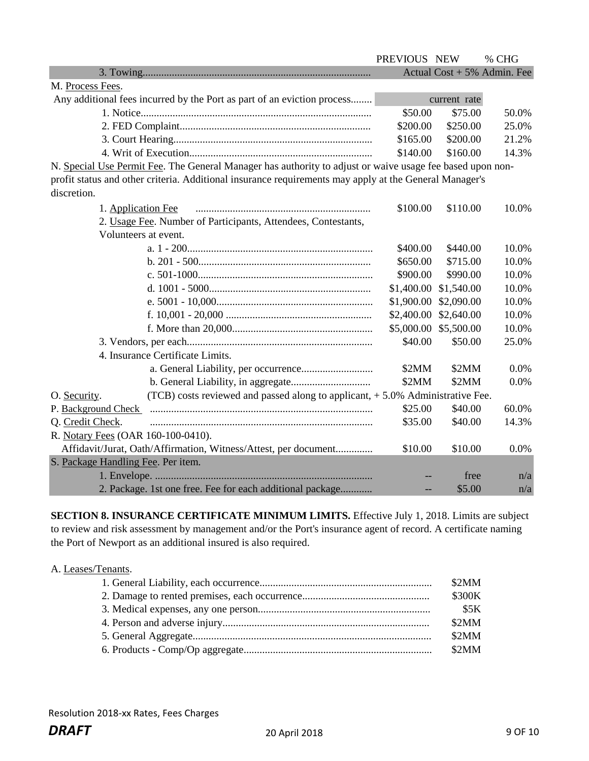|                                                                                                           | PREVIOUS NEW |              | % CHG                         |
|-----------------------------------------------------------------------------------------------------------|--------------|--------------|-------------------------------|
|                                                                                                           |              |              | Actual Cost + $5%$ Admin. Fee |
| M. Process Fees.                                                                                          |              |              |                               |
| Any additional fees incurred by the Port as part of an eviction process                                   |              | current rate |                               |
|                                                                                                           | \$50.00      | \$75.00      | 50.0%                         |
|                                                                                                           | \$200.00     | \$250.00     | 25.0%                         |
|                                                                                                           | \$165.00     | \$200.00     | 21.2%                         |
|                                                                                                           | \$140.00     | \$160.00     | 14.3%                         |
| N. Special Use Permit Fee. The General Manager has authority to adjust or waive usage fee based upon non- |              |              |                               |
| profit status and other criteria. Additional insurance requirements may apply at the General Manager's    |              |              |                               |
| discretion.                                                                                               |              |              |                               |
| 1. Application Fee                                                                                        | \$100.00     | \$110.00     | 10.0%                         |
| 2. Usage Fee. Number of Participants, Attendees, Contestants,                                             |              |              |                               |
| Volunteers at event.                                                                                      |              |              |                               |
|                                                                                                           | \$400.00     | \$440.00     | 10.0%                         |
|                                                                                                           | \$650.00     | \$715.00     | 10.0%                         |
|                                                                                                           | \$900.00     | \$990.00     | 10.0%                         |
|                                                                                                           | \$1,400.00   | \$1,540.00   | 10.0%                         |
|                                                                                                           | \$1,900.00   | \$2,090.00   | 10.0%                         |
|                                                                                                           | \$2,400.00   | \$2,640.00   | 10.0%                         |
|                                                                                                           | \$5,000.00   | \$5,500.00   | 10.0%                         |
|                                                                                                           | \$40.00      | \$50.00      | 25.0%                         |
| 4. Insurance Certificate Limits.                                                                          |              |              |                               |
|                                                                                                           | \$2MM        | \$2MM        | 0.0%                          |
|                                                                                                           | \$2MM        | \$2MM        | 0.0%                          |
| (TCB) costs reviewed and passed along to applicant, +5.0% Administrative Fee.<br>O. Security.             |              |              |                               |
| P. Background Check                                                                                       | \$25.00      | \$40.00      | 60.0%                         |
| Q. Credit Check.                                                                                          | \$35.00      | \$40.00      | 14.3%                         |
| R. Notary Fees (OAR 160-100-0410).                                                                        |              |              |                               |
| Affidavit/Jurat, Oath/Affirmation, Witness/Attest, per document                                           | \$10.00      | \$10.00      | 0.0%                          |
| S. Package Handling Fee. Per item.                                                                        |              |              |                               |
|                                                                                                           |              | free         | n/a                           |
| 2. Package. 1st one free. Fee for each additional package                                                 |              | \$5.00       | n/a                           |

**SECTION 8. INSURANCE CERTIFICATE MINIMUM LIMITS.** Effective July 1, 2018. Limits are subject to review and risk assessment by management and/or the Port's insurance agent of record. A certificate naming the Port of Newport as an additional insured is also required.

| A. Leases/Tenants. |        |
|--------------------|--------|
|                    | \$2MM  |
|                    | \$300K |
|                    | \$5K   |
|                    | \$2MM  |
|                    | \$2MM  |
|                    | \$2MM  |